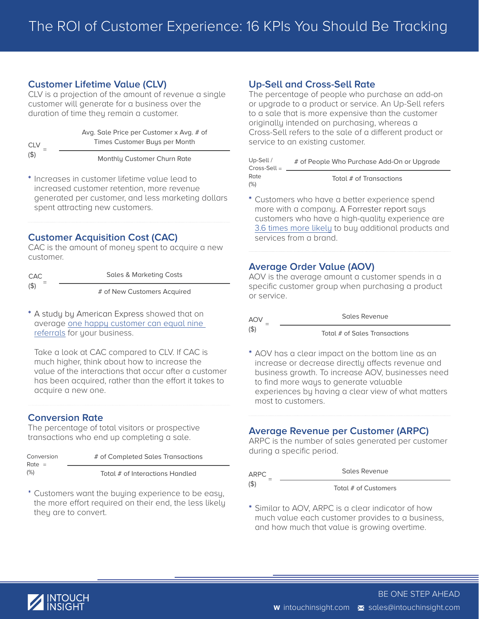## **Customer Lifetime Value (CLV)**

CLV is a projection of the amount of revenue a single customer will generate for a business over the duration of time they remain a customer.

|            | Avg. Sale Price per Customer x Avg. # of |
|------------|------------------------------------------|
| <b>CLV</b> | Times Customer Buys per Month            |
| $($ \$)    | Monthly Customer Churn Rate              |

 $*$  Increases in customer lifetime value lead to increased customer retention, more revenue generated per customer, and less marketing dollars spent attracting new customers.

## **Customer Acquisition Cost (CAC)**

CAC is the amount of money spent to acquire a new customer.

| CAC | <b>Sales &amp; Marketing Costs</b> |
|-----|------------------------------------|
| (4) | # of New Customers Acquired        |

[A study by American Express](https://www.usertesting.com/blog/2016/04/12/customer-experience-roi/) showed that on average [one happy customer can equal nine](https://www.usertesting.com/blog/2016/04/12/customer-experience-roi/)  [referrals](https://www.usertesting.com/blog/2016/04/12/customer-experience-roi/) for your business. **\***

Take a look at CAC compared to CLV. If CAC is much higher, think about how to increase the value of the interactions that occur after a customer has been acquired, rather than the effort it takes to acquire a new one.

### **Conversion Rate**

The percentage of total visitors or prospective transactions who end up completing a sale.

| Conversion<br>$Rate =$ | # of Completed Sales Transactions |
|------------------------|-----------------------------------|
| $(\%)$                 | Total # of Interactions Handled   |

Customers want the buying experience to be easy, **\*** the more effort required on their end, the less likely they are to convert.

## **Up-Sell and Cross-Sell Rate**

The percentage of people who purchase an add-on or upgrade to a product or service. An Up-Sell refers to a sale that is more expensive than the customer originally intended on purchasing, whereas a Cross-Sell refers to the sale of a different product or service to an existing customer.

| $Up-Sell /$<br>$Cross-Sell =$ | # of People Who Purchase Add-On or Upgrade |
|-------------------------------|--------------------------------------------|
| Rate                          | Total # of Transactions                    |
| $(\%)$                        |                                            |

Customers who have a better experience spend **\*** more with a company. [A Forrester report](https://reprints.forrester.com/#/assets/2/73/RES136233/reports?cm_mmc=OSocial_Twitter-_-Watson%2BCore_Watson%2BCore%2B-%2BConversation-_-WW_WW-_-Forrester%2BReport%2BROI%2BCase%2BStudy%2BOct%2B27&cm_mmca1=000027BD&cm_mmca2=10004432) says customers who have a high-quality experience are [3.6 times more likely](https://reprints.forrester.com/#/assets/2/73/RES136233/reports?cm_mmc=OSocial_Twitter-_-Watson%2BCore_Watson%2BCore%2B-%2BConversation-_-WW_WW-_-Forrester%2BReport%2BROI%2BCase%2BStudy%2BOct%2B27&cm_mmca1=000027BD&cm_mmca2=10004432) to buy additional products and services from a brand.

# **Average Order Value (AOV)**

AOV is the average amount a customer spends in a specific customer group when purchasing a product or service.

| $\triangle$ $\cap$ $\vee$ |  |  |
|---------------------------|--|--|
| ιŒ                        |  |  |

Total # of Sales Transactions

Sales Revenue

AOV has a clear impact on the bottom line as an **\*** increase or decrease directly affects revenue and business growth. To increase AOV, businesses need to find more ways to generate valuable experiences by having a clear view of what matters most to customers.

### **Average Revenue per Customer (ARPC)**

ARPC is the number of sales generated per customer during a specific period.

| ARPC<br>(5) | Sales Revenue        |
|-------------|----------------------|
|             | Total # of Customers |

Similar to AOV, ARPC is a clear indicator of how **\*** much value each customer provides to a business, and how much that value is growing overtime.

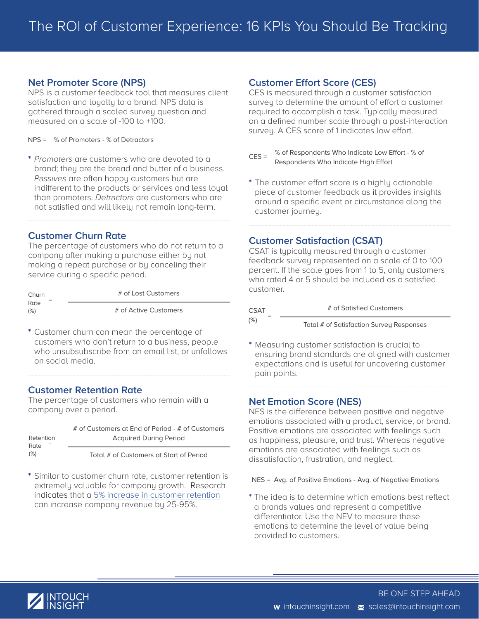#### **Net Promoter Score (NPS)**

NPS is a customer feedback tool that measures client satisfaction and loyalty to a brand. NPS data is gathered through a scaled survey question and measured on a scale of -100 to +100.

NPS = % of Promoters - % of Detractors

Promoters are customers who are devoted to a **\*** brand; they are the bread and butter of a business. Passives are often happy customers but are indifferent to the products or services and less loyal than promoters. Detractors are customers who are not satisfied and will likely not remain long-term.

#### **Customer Churn Rate**

The percentage of customers who do not return to a company after making a purchase either by not making a repeat purchase or by canceling their service during a specific period.

| Churn       | # of Lost Customers   |
|-------------|-----------------------|
| Rate<br>(%) | # of Active Customers |

Customer churn can mean the percentage of **\*** customers who don't return to a business, people who unsubsubscribe from an email list, or unfollows on social media.

### **Customer Retention Rate**

The percentage of customers who remain with a company over a period.

|                          | # of Customers at End of Period - # of Customers |
|--------------------------|--------------------------------------------------|
| Retention<br>$=$<br>Rate | <b>Acquired During Period</b>                    |
| (%)                      | Total # of Customers at Start of Period          |

Similar to customer churn rate, customer retention is **\*** extremely valuable for company growth. [Research](https://hbr.org/2014/10/the-value-of-keeping-the-right-customers)  [indicates](https://hbr.org/2014/10/the-value-of-keeping-the-right-customers) that a [5% increase in customer retention](https://hbr.org/2014/10/the-value-of-keeping-the-right-customers) can increase company revenue by 25-95%.

#### **Customer Effort Score (CES)**

CES is measured through a customer satisfaction survey to determine the amount of effort a customer required to accomplish a task. Typically measured on a defined number scale through a post-interaction survey. A CES score of 1 indicates low effort.

- $CFS =$  % of Respondents Who Indicate Low Effort % of Respondents Who Indicate High Effort
- The customer effort score is a highly actionable **\*** piece of customer feedback as it provides insights around a specific event or circumstance along the customer journey.

## **Customer Satisfaction (CSAT)**

CSAT is typically measured through a customer feedback survey represented on a scale of 0 to 100 percent. If the scale goes from 1 to 5, only customers who rated 4 or 5 should be included as a satisfied customer.

| <b>CSAT</b> | # of Satisfied Customers                 |
|-------------|------------------------------------------|
| (%)         | Total # of Satisfaction Survey Responses |

Measuring customer satisfaction is crucial to **\*** ensuring brand standards are aligned with customer expectations and is useful for uncovering customer pain points.

#### **Net Emotion Score (NES)**

NES is the difference between positive and negative emotions associated with a product, service, or brand. Positive emotions are associated with feelings such as happiness, pleasure, and trust. Whereas negative emotions are associated with feelings such as dissatisfaction, frustration, and neglect.

NES = Avg. of Positive Emotions - Avg. of Negative Emotions

The idea is to determine which emotions best reflect **\*** a brands values and represent a competitive differentiator. Use the NEV to measure these emotions to determine the level of value being provided to customers.